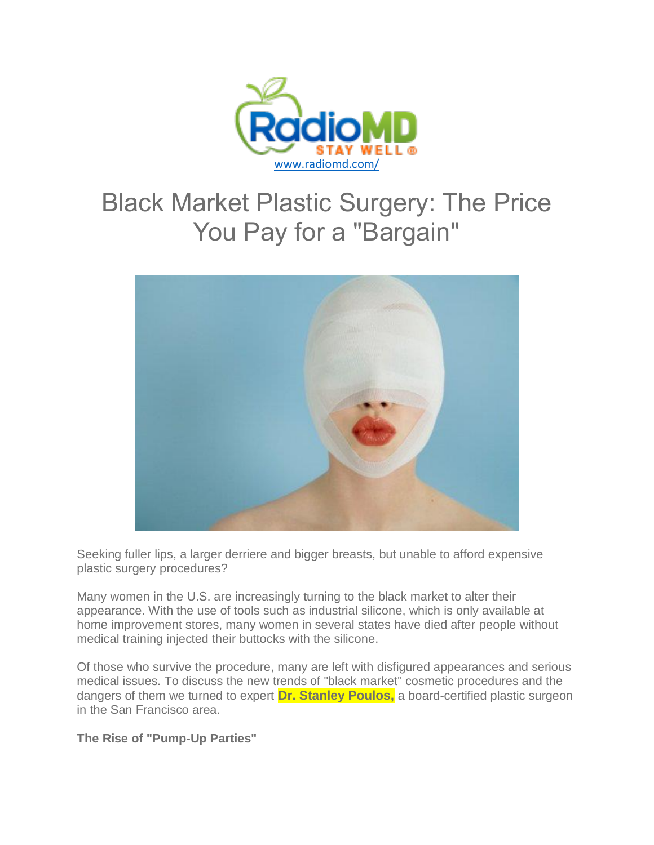

# Black Market Plastic Surgery: The Price You Pay for a "Bargain"



Seeking fuller lips, a larger derriere and bigger breasts, but unable to afford expensive plastic surgery procedures?

Many women in the U.S. are increasingly turning to the black market to alter their appearance. With the use of tools such as industrial silicone, which is only available at home improvement stores, many women in several states have died after people without medical training injected their buttocks with the silicone.

Of those who survive the procedure, many are left with disfigured appearances and serious medical issues. To discuss the new trends of "black market" cosmetic procedures and the dangers of them we turned to expert **Dr. Stanley Poulos,** a board-certified plastic surgeon in the San Francisco area.

**The Rise of "Pump-Up Parties"**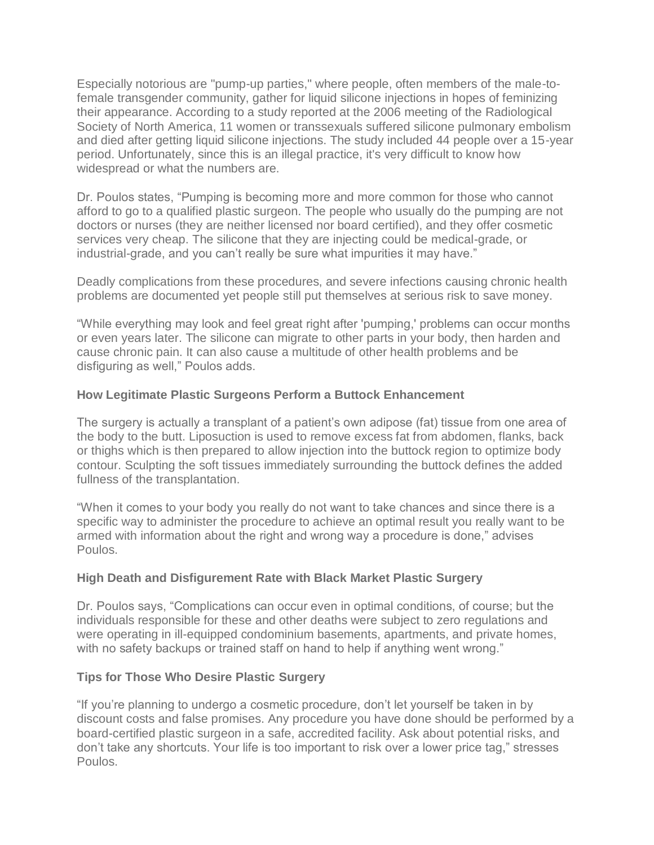Especially notorious are "pump-up parties," where people, often members of the male-tofemale transgender community, gather for liquid silicone injections in hopes of feminizing their appearance. According to a study reported at the 2006 meeting of the Radiological Society of North America, 11 women or transsexuals suffered silicone pulmonary embolism and died after getting liquid silicone injections. The study included 44 people over a 15-year period. Unfortunately, since this is an illegal practice, it's very difficult to know how widespread or what the numbers are.

Dr. Poulos states, "Pumping is becoming more and more common for those who cannot afford to go to a qualified plastic surgeon. The people who usually do the pumping are not doctors or nurses (they are neither licensed nor board certified), and they offer cosmetic services very cheap. The silicone that they are injecting could be medical-grade, or industrial-grade, and you can't really be sure what impurities it may have."

Deadly complications from these procedures, and severe infections causing chronic health problems are documented yet people still put themselves at serious risk to save money.

"While everything may look and feel great right after 'pumping,' problems can occur months or even years later. The silicone can migrate to other parts in your body, then harden and cause chronic pain. It can also cause a multitude of other health problems and be disfiguring as well," Poulos adds.

### **How Legitimate Plastic Surgeons Perform a Buttock Enhancement**

The surgery is actually a transplant of a patient's own adipose (fat) tissue from one area of the body to the butt. Liposuction is used to remove excess fat from abdomen, flanks, back or thighs which is then prepared to allow injection into the buttock region to optimize body contour. Sculpting the soft tissues immediately surrounding the buttock defines the added fullness of the transplantation.

"When it comes to your body you really do not want to take chances and since there is a specific way to administer the procedure to achieve an optimal result you really want to be armed with information about the right and wrong way a procedure is done," advises Poulos.

#### **High Death and Disfigurement Rate with Black Market Plastic Surgery**

Dr. Poulos says, "Complications can occur even in optimal conditions, of course; but the individuals responsible for these and other deaths were subject to zero regulations and were operating in ill-equipped condominium basements, apartments, and private homes, with no safety backups or trained staff on hand to help if anything went wrong."

#### **Tips for Those Who Desire Plastic Surgery**

"If you're planning to undergo a cosmetic procedure, don't let yourself be taken in by discount costs and false promises. Any procedure you have done should be performed by a board-certified plastic surgeon in a safe, accredited facility. Ask about potential risks, and don't take any shortcuts. Your life is too important to risk over a lower price tag," stresses Poulos.